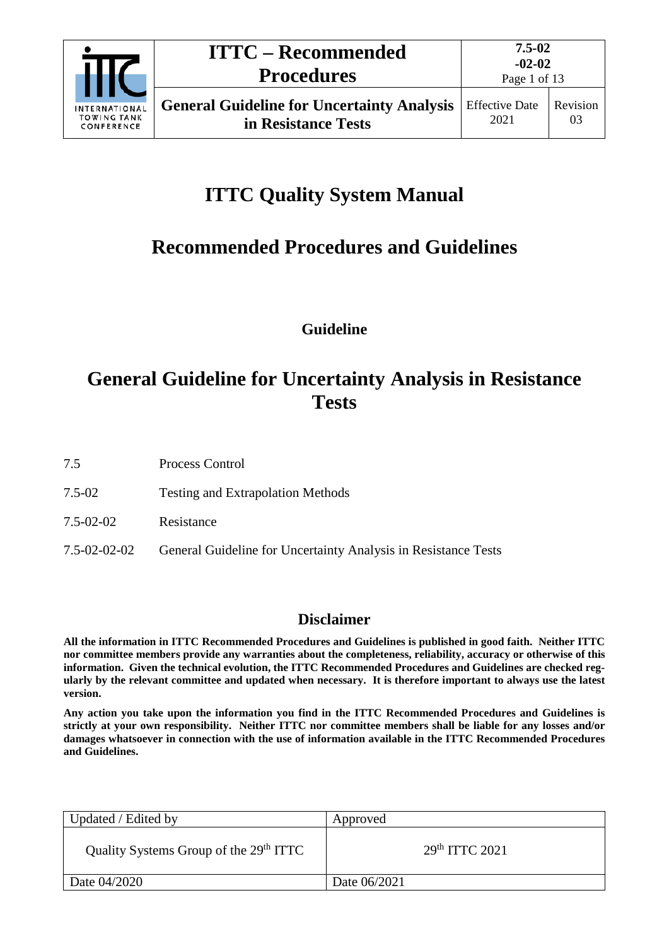

Page 1 of 13

# **ITTC Quality System Manual**

# **Recommended Procedures and Guidelines**

**Guideline**

# **General Guideline for Uncertainty Analysis in Resistance Tests**

7.5 Process Control

- 7.5-02 Testing and Extrapolation Methods
- 7.5-02-02 Resistance
- 7.5-02-02-02 General Guideline for Uncertainty Analysis in Resistance Tests

# **Disclaimer**

**All the information in ITTC Recommended Procedures and Guidelines is published in good faith. Neither ITTC nor committee members provide any warranties about the completeness, reliability, accuracy or otherwise of this information. Given the technical evolution, the ITTC Recommended Procedures and Guidelines are checked regularly by the relevant committee and updated when necessary. It is therefore important to always use the latest version.**

**Any action you take upon the information you find in the ITTC Recommended Procedures and Guidelines is strictly at your own responsibility. Neither ITTC nor committee members shall be liable for any losses and/or damages whatsoever in connection with the use of information available in the ITTC Recommended Procedures and Guidelines.**

| Updated / Edited by                                | Approved                   |
|----------------------------------------------------|----------------------------|
| Quality Systems Group of the 29 <sup>th</sup> ITTC | 29 <sup>th</sup> TTTC 2021 |
| Date 04/2020                                       | Date 06/2021               |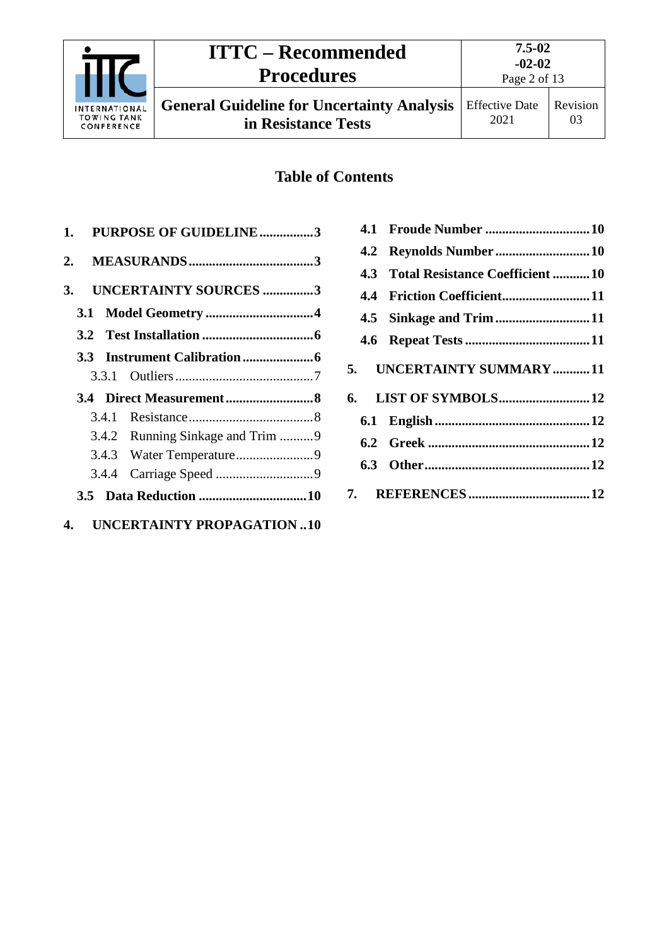

# **ITTC – Recommended Procedures**

**7.5-02 -02-02**

**General Guideline for Uncertainty Analysis in Resistance Tests**

Page 2 of 13

# **Table of Contents**

|       | 1. PURPOSE OF GUIDELINE3         |  |
|-------|----------------------------------|--|
|       |                                  |  |
| 3.    | <b>UNCERTAINTY SOURCES 3</b>     |  |
|       |                                  |  |
|       |                                  |  |
|       |                                  |  |
|       |                                  |  |
|       |                                  |  |
|       |                                  |  |
|       | 3.4.2 Running Sinkage and Trim 9 |  |
|       |                                  |  |
| 3.4.4 |                                  |  |
|       |                                  |  |
|       | 4. UNCERTAINTY PROPAGATION10     |  |

|  | 4.3 Total Resistance Coefficient 10 |
|--|-------------------------------------|
|  | 4.4 Friction Coefficient11          |
|  |                                     |
|  |                                     |
|  | 5. UNCERTAINTY SUMMARY11            |
|  |                                     |
|  |                                     |
|  |                                     |
|  |                                     |
|  |                                     |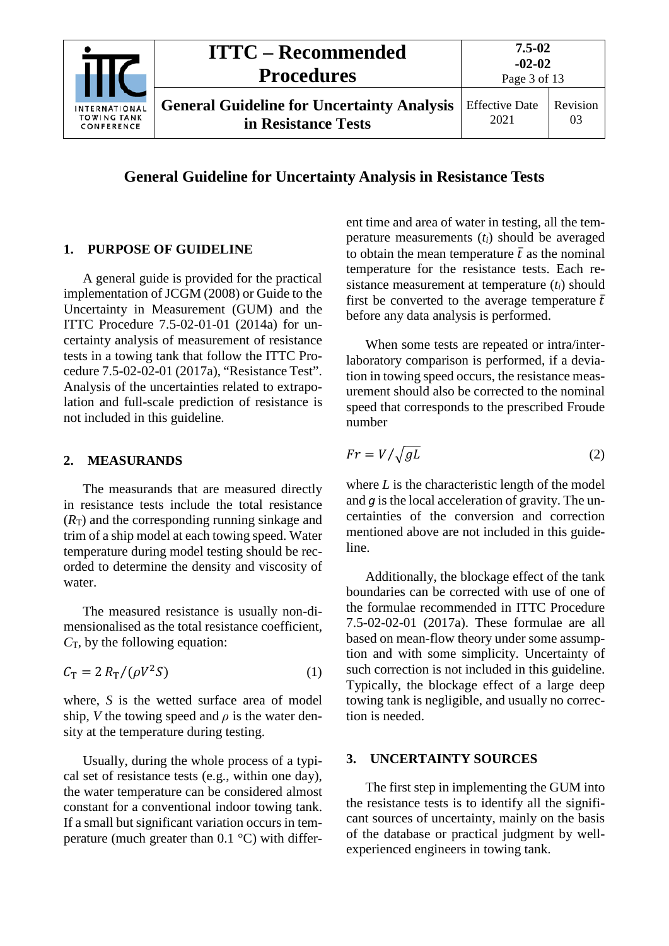|                                                   | <b>ITTC – Recommended</b><br><b>Procedures</b>                           | $7.5 - 02$<br>$-02-02$<br>Page 3 of 13 |                |
|---------------------------------------------------|--------------------------------------------------------------------------|----------------------------------------|----------------|
| INTERNATIONAL<br><b>TOWING TANK</b><br>CONFERENCE | <b>General Guideline for Uncertainty Analysis</b><br>in Resistance Tests | <b>Effective Date</b><br>2021          | Revision<br>03 |

**General Guideline for Uncertainty Analysis in Resistance Tests**

### <span id="page-2-0"></span>**1. PURPOSE OF GUIDELINE**

A general guide is provided for the practical implementation of JCGM (2008) or Guide to the Uncertainty in Measurement (GUM) and the ITTC Procedure 7.5-02-01-01 (2014a) for uncertainty analysis of measurement of resistance tests in a towing tank that follow the ITTC Procedure 7.5-02-02-01 (2017a), "Resistance Test". Analysis of the uncertainties related to extrapolation and full-scale prediction of resistance is not included in this guideline.

#### <span id="page-2-1"></span>**2. MEASURANDS**

The measurands that are measured directly in resistance tests include the total resistance  $(R<sub>T</sub>)$  and the corresponding running sinkage and trim of a ship model at each towing speed. Water temperature during model testing should be recorded to determine the density and viscosity of water.

The measured resistance is usually non-dimensionalised as the total resistance coefficient, *C*T, by the following equation:

<span id="page-2-4"></span>
$$
C_{\rm T} = 2 R_{\rm T} / (\rho V^2 S) \tag{1}
$$

where, *S* is the wetted surface area of model ship, *V* the towing speed and  $\rho$  is the water density at the temperature during testing.

Usually, during the whole process of a typical set of resistance tests (e.g., within one day), the water temperature can be considered almost constant for a conventional indoor towing tank. If a small but significant variation occurs in temperature (much greater than  $0.1 \degree C$ ) with different time and area of water in testing, all the temperature measurements (*ti*) should be averaged to obtain the mean temperature  $\bar{t}$  as the nominal temperature for the resistance tests. Each resistance measurement at temperature (*ti*) should first be converted to the average temperature  $\bar{t}$ before any data analysis is performed.

When some tests are repeated or intra/interlaboratory comparison is performed, if a deviation in towing speed occurs, the resistance measurement should also be corrected to the nominal speed that corresponds to the prescribed Froude number

<span id="page-2-3"></span>
$$
Fr = V / \sqrt{gL} \tag{2}
$$

where  $L$  is the characteristic length of the model and *g* is the local acceleration of gravity. The uncertainties of the conversion and correction mentioned above are not included in this guideline.

Additionally, the blockage effect of the tank boundaries can be corrected with use of one of the formulae recommended in ITTC Procedure 7.5-02-02-01 (2017a). These formulae are all based on mean-flow theory under some assumption and with some simplicity. Uncertainty of such correction is not included in this guideline. Typically, the blockage effect of a large deep towing tank is negligible, and usually no correction is needed.

#### <span id="page-2-2"></span>**3. UNCERTAINTY SOURCES**

The first step in implementing the GUM into the resistance tests is to identify all the significant sources of uncertainty, mainly on the basis of the database or practical judgment by wellexperienced engineers in towing tank.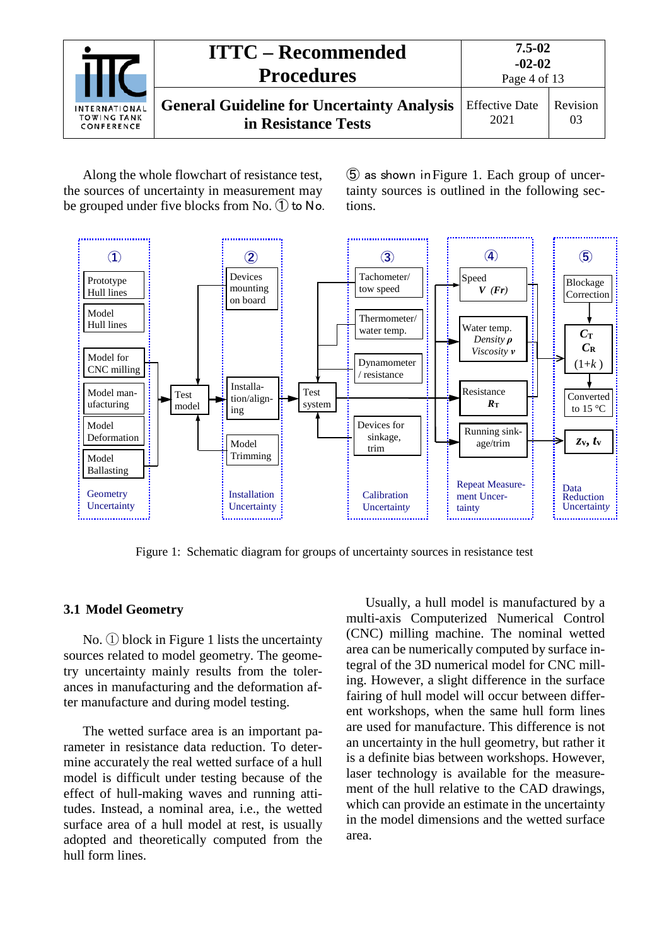|                                                          | <b>ITTC – Recommended</b><br><b>Procedures</b>                           | 7.5-02<br>$-02-02$<br>Page 4 of 13 |                       |
|----------------------------------------------------------|--------------------------------------------------------------------------|------------------------------------|-----------------------|
| <b>INTERNATIONAL</b><br><b>TOWING TANK</b><br>CONFERENCE | <b>General Guideline for Uncertainty Analysis</b><br>in Resistance Tests | <b>Effective Date</b><br>2021      | <b>Revision</b><br>03 |

Along the whole flowchart of resistance test, the sources of uncertainty in measurement may be grouped under five blocks from No. ① to No. ⑤ as shown in [Figure 1.](#page-3-1) Each group of uncertainty sources is outlined in the following sections.



Figure 1: Schematic diagram for groups of uncertainty sources in resistance test

#### <span id="page-3-1"></span><span id="page-3-0"></span>**3.1 Model Geometry**

No. ① block in [Figure 1](#page-3-1) lists the uncertainty sources related to model geometry. The geometry uncertainty mainly results from the tolerances in manufacturing and the deformation after manufacture and during model testing.

The wetted surface area is an important parameter in resistance data reduction. To determine accurately the real wetted surface of a hull model is difficult under testing because of the effect of hull-making waves and running attitudes. Instead, a nominal area, i.e., the wetted surface area of a hull model at rest, is usually adopted and theoretically computed from the hull form lines.

Usually, a hull model is manufactured by a multi-axis Computerized Numerical Control (CNC) milling machine. The nominal wetted area can be numerically computed by surface integral of the 3D numerical model for CNC milling. However, a slight difference in the surface fairing of hull model will occur between different workshops, when the same hull form lines are used for manufacture. This difference is not an uncertainty in the hull geometry, but rather it is a definite bias between workshops. However, laser technology is available for the measurement of the hull relative to the CAD drawings, which can provide an estimate in the uncertainty in the model dimensions and the wetted surface area.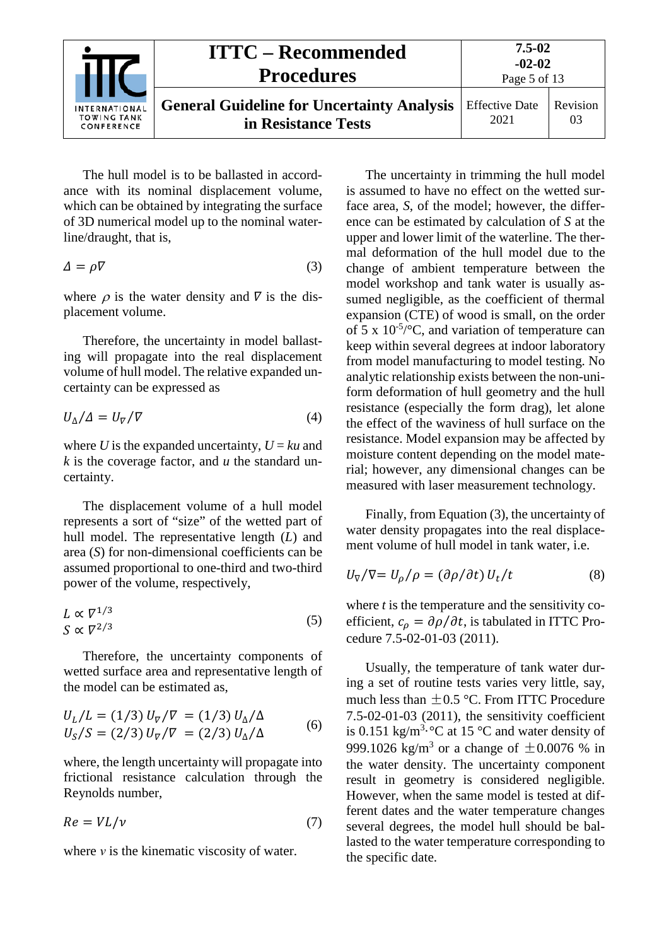|                                                          | <b>ITTC – Recommended</b><br><b>Procedures</b>                           | $7.5 - 02$<br>$-02-02$<br>Page 5 of 13 |                |
|----------------------------------------------------------|--------------------------------------------------------------------------|----------------------------------------|----------------|
| <b>INTERNATIONAL</b><br><b>TOWING TANK</b><br>CONFERENCE | <b>General Guideline for Uncertainty Analysis</b><br>in Resistance Tests | <b>Effective Date</b><br>2021          | Revision<br>03 |

The hull model is to be ballasted in accordance with its nominal displacement volume, which can be obtained by integrating the surface of 3D numerical model up to the nominal waterline/draught, that is,

<span id="page-4-0"></span>
$$
\Delta = \rho \nabla \tag{3}
$$

where  $\rho$  is the water density and  $\nabla$  is the displacement volume.

Therefore, the uncertainty in model ballasting will propagate into the real displacement volume of hull model. The relative expanded uncertainty can be expressed as

$$
U_{\Delta}/\Delta = U_{\nabla}/\nabla \tag{4}
$$

where *U* is the expanded uncertainty,  $U = ku$  and *k* is the coverage factor, and *u* the standard uncertainty.

The displacement volume of a hull model represents a sort of "size" of the wetted part of hull model. The representative length (*L*) and area (*S*) for non-dimensional coefficients can be assumed proportional to one-third and two-third power of the volume, respectively,

$$
L \propto \nabla^{1/3} \tag{5}
$$
\n
$$
S \propto \nabla^{2/3}
$$

Therefore, the uncertainty components of wetted surface area and representative length of the model can be estimated as,

$$
U_L/L = (1/3) U_{\nabla}/\nabla = (1/3) U_{\Delta}/\Delta
$$
  
\n
$$
U_S/S = (2/3) U_{\nabla}/\nabla = (2/3) U_{\Delta}/\Delta
$$
 (6)

where, the length uncertainty will propagate into frictional resistance calculation through the Reynolds number,

<span id="page-4-1"></span>
$$
Re = VL/v \tag{7}
$$

where  $\nu$  is the kinematic viscosity of water.

The uncertainty in trimming the hull model is assumed to have no effect on the wetted surface area, *S*, of the model; however, the difference can be estimated by calculation of *S* at the upper and lower limit of the waterline. The thermal deformation of the hull model due to the change of ambient temperature between the model workshop and tank water is usually assumed negligible, as the coefficient of thermal expansion (CTE) of wood is small, on the order of 5 x  $10^{-5}$ /°C, and variation of temperature can keep within several degrees at indoor laboratory from model manufacturing to model testing. No analytic relationship exists between the non-uniform deformation of hull geometry and the hull resistance (especially the form drag), let alone the effect of the waviness of hull surface on the resistance. Model expansion may be affected by moisture content depending on the model material; however, any dimensional changes can be measured with laser measurement technology.

Finally, from Equation [\(3\),](#page-4-0) the uncertainty of water density propagates into the real displacement volume of hull model in tank water, i.e.

$$
U_{\nabla}/\nabla = U_{\rho}/\rho = (\partial \rho/\partial t) U_t/t \tag{8}
$$

where *t* is the temperature and the sensitivity coefficient,  $c_{\rho} = \partial \rho / \partial t$ , is tabulated in ITTC Procedure 7.5-02-01-03 (2011).

Usually, the temperature of tank water during a set of routine tests varies very little, say, much less than  $\pm 0.5$  °C. From ITTC Procedure 7.5-02-01-03 (2011), the sensitivity coefficient is 0.151 kg/m<sup>3.</sup> °C at 15 °C and water density of 999.1026 kg/m<sup>3</sup> or a change of  $\pm 0.0076$  % in the water density. The uncertainty component result in geometry is considered negligible. However, when the same model is tested at different dates and the water temperature changes several degrees, the model hull should be ballasted to the water temperature corresponding to the specific date.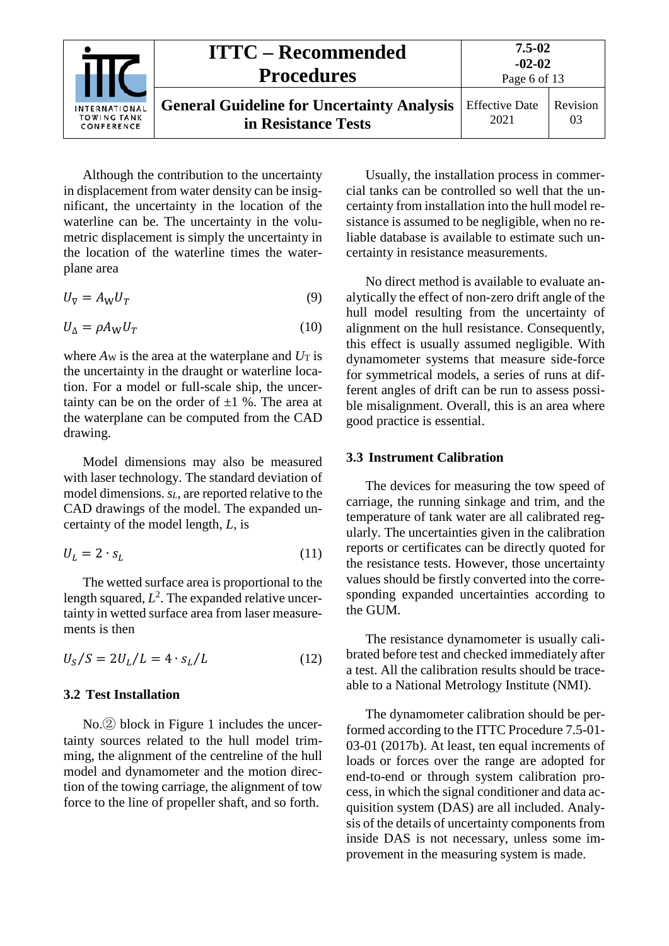|                                                   | <b>ITTC – Recommended</b><br><b>Procedures</b>                           | 7.5-02<br>$-02-02$<br>Page 6 of 13 |                |
|---------------------------------------------------|--------------------------------------------------------------------------|------------------------------------|----------------|
| INTERNATIONAL<br><b>TOWING TANK</b><br>CONFERENCE | <b>General Guideline for Uncertainty Analysis</b><br>in Resistance Tests | <b>Effective Date</b><br>2021      | Revision<br>03 |

Although the contribution to the uncertainty in displacement from water density can be insignificant, the uncertainty in the location of the waterline can be. The uncertainty in the volumetric displacement is simply the uncertainty in the location of the waterline times the waterplane area

$$
U_{\nabla} = A_{\mathbf{W}} U_T \tag{9}
$$

$$
U_{\Delta} = \rho A_{\rm W} U_T \tag{10}
$$

where  $A_W$  is the area at the waterplane and  $U_T$  is the uncertainty in the draught or waterline location. For a model or full-scale ship, the uncertainty can be on the order of  $\pm 1$  %. The area at the waterplane can be computed from the CAD drawing.

Model dimensions may also be measured with laser technology. The standard deviation of model dimensions. *sL*, are reported relative to the CAD drawings of the model. The expanded uncertainty of the model length, *L*, is

$$
U_L = 2 \cdot s_L \tag{11}
$$

The wetted surface area is proportional to the length squared,  $L^2$ . The expanded relative uncertainty in wetted surface area from laser measurements is then

<span id="page-5-0"></span>
$$
U_S/S = 2U_L/L = 4 \cdot s_L/L \tag{12}
$$

#### **3.2 Test Installation**

No.② block in [Figure 1](#page-3-1) includes the uncertainty sources related to the hull model trimming, the alignment of the centreline of the hull model and dynamometer and the motion direction of the towing carriage, the alignment of tow force to the line of propeller shaft, and so forth.

Usually, the installation process in commercial tanks can be controlled so well that the uncertainty from installation into the hull model resistance is assumed to be negligible, when no reliable database is available to estimate such uncertainty in resistance measurements.

No direct method is available to evaluate analytically the effect of non-zero drift angle of the hull model resulting from the uncertainty of alignment on the hull resistance. Consequently, this effect is usually assumed negligible. With dynamometer systems that measure side-force for symmetrical models, a series of runs at different angles of drift can be run to assess possible misalignment. Overall, this is an area where good practice is essential.

#### <span id="page-5-1"></span>**3.3 Instrument Calibration**

The devices for measuring the tow speed of carriage, the running sinkage and trim, and the temperature of tank water are all calibrated regularly. The uncertainties given in the calibration reports or certificates can be directly quoted for the resistance tests. However, those uncertainty values should be firstly converted into the corresponding expanded uncertainties according to the GUM.

The resistance dynamometer is usually calibrated before test and checked immediately after a test. All the calibration results should be traceable to a National Metrology Institute (NMI).

The dynamometer calibration should be performed according to the ITTC Procedure 7.5-01- 03-01 (2017b). At least, ten equal increments of loads or forces over the range are adopted for end-to-end or through system calibration process, in which the signal conditioner and data acquisition system (DAS) are all included. Analysis of the details of uncertainty components from inside DAS is not necessary, unless some improvement in the measuring system is made.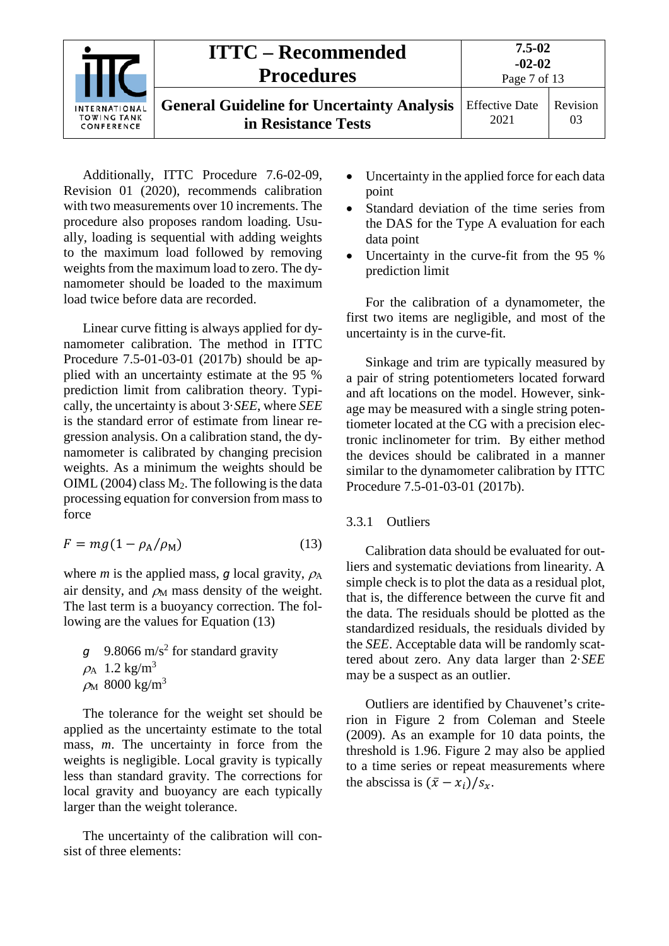|                                                          | <b>ITTC – Recommended</b><br><b>Procedures</b>                           | $7.5 - 02$<br>$-02-02$<br>Page 7 of 13 |          |
|----------------------------------------------------------|--------------------------------------------------------------------------|----------------------------------------|----------|
| <b>INTERNATIONAL</b><br><b>TOWING TANK</b><br>CONFERENCE | <b>General Guideline for Uncertainty Analysis</b><br>in Resistance Tests | <b>Effective Date</b><br>2021          | Revision |

Additionally, ITTC Procedure 7.6-02-09, Revision 01 (2020), recommends calibration with two measurements over 10 increments. The procedure also proposes random loading. Usually, loading is sequential with adding weights to the maximum load followed by removing weights from the maximum load to zero. The dynamometer should be loaded to the maximum load twice before data are recorded.

Linear curve fitting is always applied for dynamometer calibration. The method in ITTC Procedure 7.5-01-03-01 (2017b) should be applied with an uncertainty estimate at the 95 % prediction limit from calibration theory. Typically, the uncertainty is about 3·*SEE*, where *SEE* is the standard error of estimate from linear regression analysis. On a calibration stand, the dynamometer is calibrated by changing precision weights. As a minimum the weights should be OIML (2004) class  $M_2$ . The following is the data processing equation for conversion from mass to force

<span id="page-6-1"></span>
$$
F = mg(1 - \rho_A/\rho_M) \tag{13}
$$

where *m* is the applied mass, *g* local gravity,  $\rho_A$ air density, and  $\rho_M$  mass density of the weight. The last term is a buoyancy correction. The fol-lowing are the values for Equation [\(13\)](#page-6-1)

9.8066 m/s<sup>2</sup> for standard gravity  $\rho_A$  1.2 kg/m<sup>3</sup>  $ρ<sub>M</sub>$  8000 kg/m<sup>3</sup>

The tolerance for the weight set should be applied as the uncertainty estimate to the total mass, *m*. The uncertainty in force from the weights is negligible. Local gravity is typically less than standard gravity. The corrections for local gravity and buoyancy are each typically larger than the weight tolerance.

The uncertainty of the calibration will consist of three elements:

- Uncertainty in the applied force for each data point
- Standard deviation of the time series from the DAS for the Type A evaluation for each data point
- Uncertainty in the curve-fit from the 95 % prediction limit

For the calibration of a dynamometer, the first two items are negligible, and most of the uncertainty is in the curve-fit.

Sinkage and trim are typically measured by a pair of string potentiometers located forward and aft locations on the model. However, sinkage may be measured with a single string potentiometer located at the CG with a precision electronic inclinometer for trim. By either method the devices should be calibrated in a manner similar to the dynamometer calibration by ITTC Procedure 7.5-01-03-01 (2017b).

#### <span id="page-6-0"></span>3.3.1 Outliers

Calibration data should be evaluated for outliers and systematic deviations from linearity. A simple check is to plot the data as a residual plot, that is, the difference between the curve fit and the data. The residuals should be plotted as the standardized residuals, the residuals divided by the *SEE*. Acceptable data will be randomly scattered about zero. Any data larger than 2·*SEE* may be a suspect as an outlier.

Outliers are identified by Chauvenet's criterion in [Figure 2](#page-7-2) from Coleman and Steele (2009). As an example for 10 data points, the threshold is 1.96. [Figure 2](#page-7-2) may also be applied to a time series or repeat measurements where the abscissa is  $(\bar{x} - x_i)/s_x$ .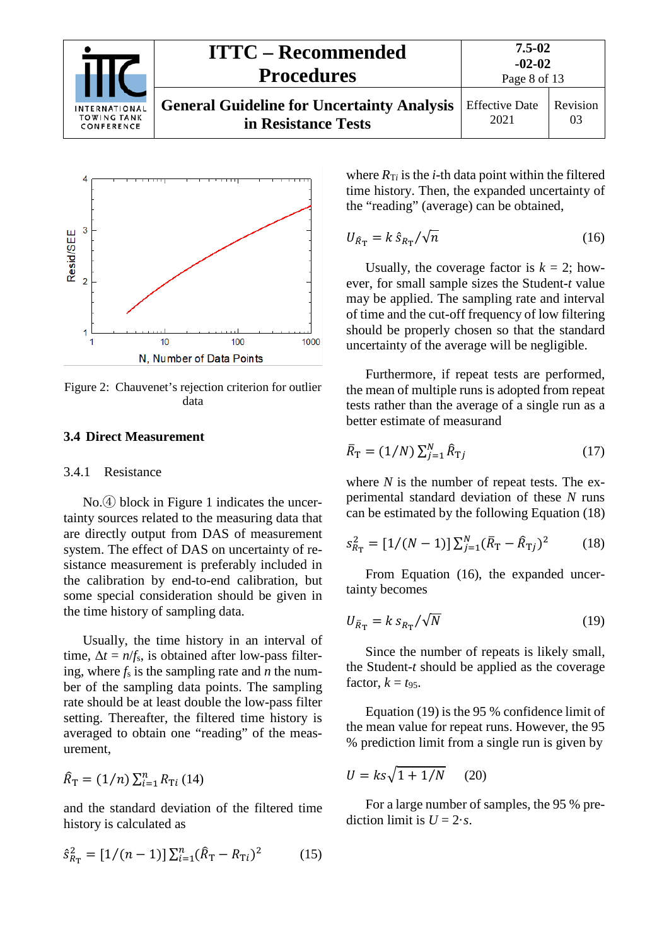



<span id="page-7-2"></span>Figure 2: Chauvenet's rejection criterion for outlier data

#### <span id="page-7-1"></span><span id="page-7-0"></span>**3.4 Direct Measurement**

#### 3.4.1 Resistance

No.④ block in [Figure 1](#page-3-1) indicates the uncertainty sources related to the measuring data that are directly output from DAS of measurement system. The effect of DAS on uncertainty of resistance measurement is preferably included in the calibration by end-to-end calibration, but some special consideration should be given in the time history of sampling data.

Usually, the time history in an interval of time,  $\Delta t = n/f_s$ , is obtained after low-pass filtering, where  $f_s$  is the sampling rate and  $\overline{n}$  the number of the sampling data points. The sampling rate should be at least double the low-pass filter setting. Thereafter, the filtered time history is averaged to obtain one "reading" of the measurement,

$$
\hat{R}_{\rm T} = (1/n) \sum_{i=1}^{n} R_{\rm Ti} (14)
$$

and the standard deviation of the filtered time history is calculated as

$$
\hat{s}_{R_{\rm T}}^2 = [1/(n-1)] \sum_{i=1}^n (\hat{R}_{\rm T} - R_{\rm T}i)^2 \tag{15}
$$

where  $R_{Ti}$  is the *i*-th data point within the filtered time history. Then, the expanded uncertainty of the "reading" (average) can be obtained,

<span id="page-7-4"></span>
$$
U_{\hat{R}_{\rm T}} = k \,\hat{s}_{R_{\rm T}} / \sqrt{n} \tag{16}
$$

Usually, the coverage factor is  $k = 2$ ; however, for small sample sizes the Student-*t* value may be applied. The sampling rate and interval of time and the cut-off frequency of low filtering should be properly chosen so that the standard uncertainty of the average will be negligible.

Furthermore, if repeat tests are performed, the mean of multiple runs is adopted from repeat tests rather than the average of a single run as a better estimate of measurand

$$
\bar{R}_{\rm T} = (1/N) \sum_{j=1}^{N} \hat{R}_{\rm Tj} \tag{17}
$$

where *N* is the number of repeat tests. The experimental standard deviation of these *N* runs can be estimated by the following Equation [\(18\)](#page-7-3)

<span id="page-7-3"></span>
$$
s_{R_{\rm T}}^2 = [1/(N-1)] \sum_{j=1}^{N} (\bar{R}_{\rm T} - \hat{R}_{\rm Tj})^2 \tag{18}
$$

From Equation [\(16\),](#page-7-4) the expanded uncertainty becomes

<span id="page-7-5"></span>
$$
U_{\bar{R}_{\rm T}} = k \, s_{R_{\rm T}} / \sqrt{N} \tag{19}
$$

Since the number of repeats is likely small, the Student-*t* should be applied as the coverage factor,  $k = t_{95}$ .

Equation [\(19\)](#page-7-5) is the 95 % confidence limit of the mean value for repeat runs. However, the 95 % prediction limit from a single run is given by

<span id="page-7-6"></span>
$$
U = ks\sqrt{1 + 1/N} \qquad (20)
$$

For a large number of samples, the 95 % prediction limit is  $U = 2 \cdot s$ .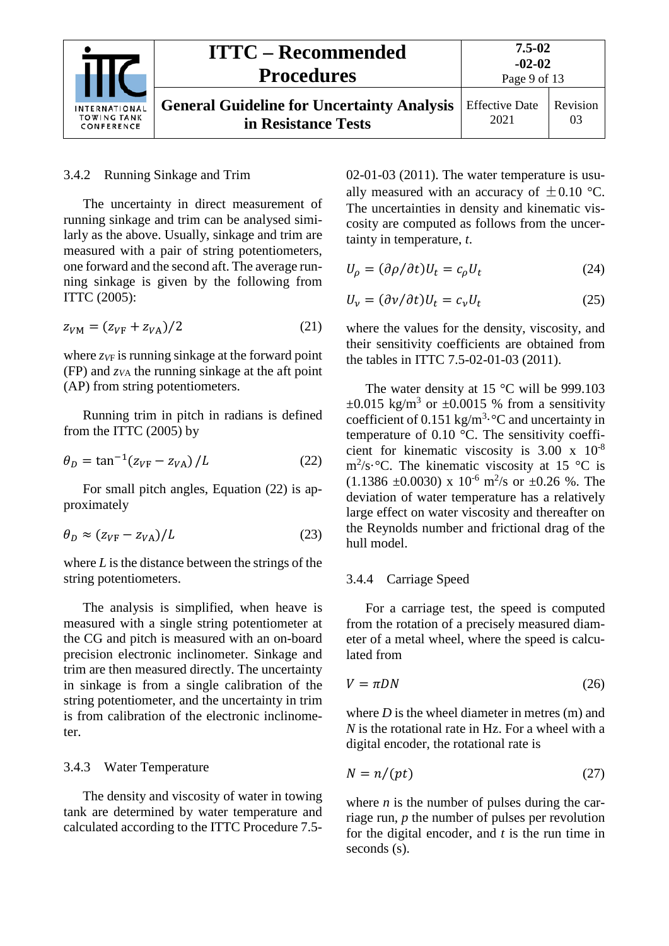|                                                   | <b>ITTC – Recommended</b><br><b>Procedures</b>                           | $7.5 - 02$<br>$-02-02$<br>Page 9 of 13 |                |
|---------------------------------------------------|--------------------------------------------------------------------------|----------------------------------------|----------------|
| INTERNATIONAL<br><b>TOWING TANK</b><br>CONFERENCE | <b>General Guideline for Uncertainty Analysis</b><br>in Resistance Tests | <b>Effective Date</b><br>2021          | Revision<br>03 |

#### <span id="page-8-0"></span>3.4.2 Running Sinkage and Trim

The uncertainty in direct measurement of running sinkage and trim can be analysed similarly as the above. Usually, sinkage and trim are measured with a pair of string potentiometers, one forward and the second aft. The average running sinkage is given by the following from ITTC (2005):

<span id="page-8-7"></span>
$$
z_{VM} = (z_{VF} + z_{VA})/2
$$
 (21)

where  $z_V$  is running sinkage at the forward point (FP) and *zV*<sup>A</sup> the running sinkage at the aft point (AP) from string potentiometers.

Running trim in pitch in radians is defined from the ITTC (2005) by

$$
\theta_D = \tan^{-1}(z_{VF} - z_{VA})/L \tag{22}
$$

For small pitch angles, Equation [\(22\)](#page-8-3) is approximately

$$
\theta_D \approx (z_{VF} - z_{VA})/L \tag{23}
$$

where *L* is the distance between the strings of the string potentiometers.

The analysis is simplified, when heave is measured with a single string potentiometer at the CG and pitch is measured with an on-board precision electronic inclinometer. Sinkage and trim are then measured directly. The uncertainty in sinkage is from a single calibration of the string potentiometer, and the uncertainty in trim is from calibration of the electronic inclinometer.

#### <span id="page-8-1"></span>3.4.3 Water Temperature

The density and viscosity of water in towing tank are determined by water temperature and calculated according to the ITTC Procedure 7.502-01-03 (2011). The water temperature is usually measured with an accuracy of  $\pm 0.10$  °C. The uncertainties in density and kinematic viscosity are computed as follows from the uncertainty in temperature, *t*.

<span id="page-8-6"></span>
$$
U_{\rho} = (\partial \rho / \partial t) U_t = c_{\rho} U_t \tag{24}
$$

<span id="page-8-5"></span>
$$
U_{\nu} = (\partial \nu / \partial t) U_t = c_{\nu} U_t \tag{25}
$$

where the values for the density, viscosity, and their sensitivity coefficients are obtained from the tables in ITTC 7.5-02-01-03 (2011).

<span id="page-8-3"></span>The water density at  $15^{\circ}$ C will be 999.103  $\pm 0.015$  kg/m<sup>3</sup> or  $\pm 0.0015$  % from a sensitivity coefficient of 0.151 kg/m<sup>3</sup> $\cdot$ °C and uncertainty in temperature of 0.10 °C. The sensitivity coefficient for kinematic viscosity is 3.00 x 10-8  $\text{m}^2/\text{s}\cdot\text{°C}$ . The kinematic viscosity at 15 °C is  $(1.1386 \pm 0.0030) \times 10^{-6} \text{ m}^2/\text{s}$  or  $\pm 0.26$  %. The deviation of water temperature has a relatively large effect on water viscosity and thereafter on the Reynolds number and frictional drag of the hull model.

#### <span id="page-8-8"></span><span id="page-8-2"></span>3.4.4 Carriage Speed

For a carriage test, the speed is computed from the rotation of a precisely measured diameter of a metal wheel, where the speed is calculated from

<span id="page-8-4"></span>
$$
V = \pi DN \tag{26}
$$

where *D* is the wheel diameter in metres (m) and *N* is the rotational rate in Hz. For a wheel with a digital encoder, the rotational rate is

$$
N = n/(pt) \tag{27}
$$

where *n* is the number of pulses during the carriage run, *p* the number of pulses per revolution for the digital encoder, and *t* is the run time in seconds (s).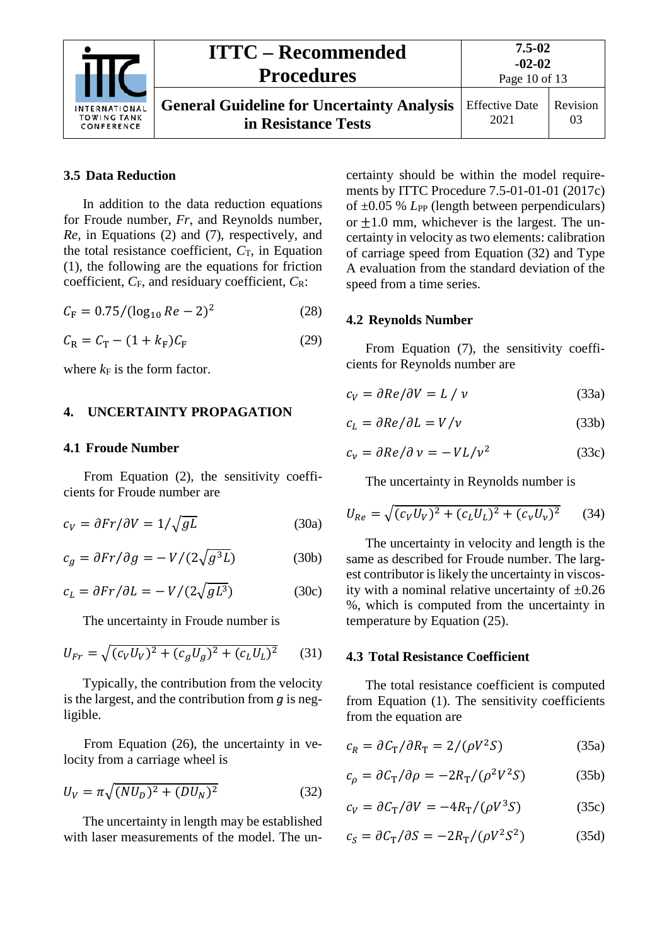|                                                          | <b>ITTC – Recommended</b><br><b>Procedures</b>                           | 7.5-02<br>$-02-02$<br>Page 10 of 13 |                |
|----------------------------------------------------------|--------------------------------------------------------------------------|-------------------------------------|----------------|
| <b>INTERNATIONAL</b><br><b>TOWING TANK</b><br>CONFERENCE | <b>General Guideline for Uncertainty Analysis</b><br>in Resistance Tests | <b>Effective Date</b><br>2021       | Revision<br>03 |

#### <span id="page-9-0"></span>**3.5 Data Reduction**

In addition to the data reduction equations for Froude number, *Fr*, and Reynolds number, *Re*, in Equations [\(2\)](#page-2-3) and [\(7\),](#page-4-1) respectively, and the total resistance coefficient,  $C_T$ , in Equation (1), the following are the equations for friction coefficient,  $C_F$ , and residuary coefficient,  $C_R$ :

<span id="page-9-8"></span>
$$
C_{\rm F} = 0.75 / (\log_{10} Re - 2)^2 \tag{28}
$$

$$
C_{\rm R} = C_{\rm T} - (1 + k_{\rm F})C_{\rm F} \tag{29}
$$

<span id="page-9-1"></span>where  $k_F$  is the form factor.

#### <span id="page-9-2"></span>**4. UNCERTAINTY PROPAGATION**

#### **4.1 Froude Number**

From Equation [\(2\),](#page-2-3) the sensitivity coefficients for Froude number are

$$
c_V = \partial Fr / \partial V = 1 / \sqrt{gL} \tag{30a}
$$

$$
c_g = \partial Fr / \partial g = -V / (2\sqrt{g^3 L})
$$
 (30b)

$$
c_L = \partial Fr / \partial L = -V / (2\sqrt{gL^3})
$$
 (30c)

The uncertainty in Froude number is

$$
U_{Fr} = \sqrt{(c_V U_V)^2 + (c_g U_g)^2 + (c_L U_L)^2}
$$
 (31)

Typically, the contribution from the velocity is the largest, and the contribution from *g* is negligible.

From Equation [\(26\),](#page-8-4) the uncertainty in velocity from a carriage wheel is

$$
U_V = \pi \sqrt{(NU_D)^2 + (DU_N)^2}
$$
 (32)

The uncertainty in length may be established with laser measurements of the model. The uncertainty should be within the model requirements by ITTC Procedure 7.5-01-01-01 (2017c) of  $\pm 0.05$  % *L*<sub>PP</sub> (length between perpendiculars) or  $\pm 1.0$  mm, whichever is the largest. The uncertainty in velocity as two elements: calibration of carriage speed from Equation [\(32\)](#page-9-5) and Type A evaluation from the standard deviation of the speed from a time series.

#### <span id="page-9-6"></span><span id="page-9-3"></span>**4.2 Reynolds Number**

From Equation [\(7\),](#page-4-1) the sensitivity coefficients for Reynolds number are

$$
c_V = \partial Re/\partial V = L / \nu \tag{33a}
$$

$$
c_L = \partial Re/\partial L = V/\nu \tag{33b}
$$

$$
c_{v} = \partial Re/\partial v = -VL/v^2 \tag{33c}
$$

<span id="page-9-7"></span>The uncertainty in Reynolds number is

$$
U_{Re} = \sqrt{(c_V U_V)^2 + (c_L U_L)^2 + (c_V U_V)^2}
$$
 (34)

The uncertainty in velocity and length is the same as described for Froude number. The largest contributor is likely the uncertainty in viscosity with a nominal relative uncertainty of  $\pm 0.26$ %, which is computed from the uncertainty in temperature by Equation [\(25\).](#page-8-5)

#### <span id="page-9-4"></span>**4.3 Total Resistance Coefficient**

The total resistance coefficient is computed from Equation (1). The sensitivity coefficients from the equation are

$$
c_R = \partial C_T / \partial R_T = 2/(\rho V^2 S)
$$
 (35a)

<span id="page-9-5"></span>
$$
c_{\rho} = \partial C_{\rm T} / \partial \rho = -2R_{\rm T} / (\rho^2 V^2 S) \tag{35b}
$$

$$
c_V = \partial C_T / \partial V = -4R_T / (\rho V^3 S) \tag{35c}
$$

$$
c_S = \partial C_T / \partial S = -2R_T / (\rho V^2 S^2)
$$
 (35d)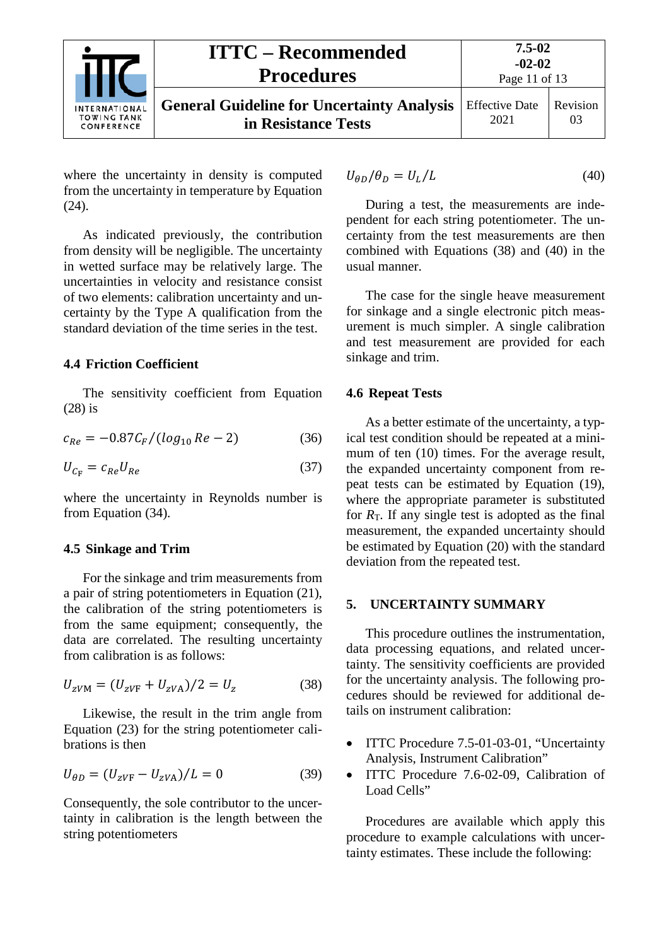|                                                   | <b>ITTC – Recommended</b><br><b>Procedures</b>                           | $7.5 - 02$<br>$-02-02$<br>Page 11 of 13 |                |
|---------------------------------------------------|--------------------------------------------------------------------------|-----------------------------------------|----------------|
| INTERNATIONAL<br><b>TOWING TANK</b><br>CONFERENCE | <b>General Guideline for Uncertainty Analysis</b><br>in Resistance Tests | <b>Effective Date</b><br>2021           | Revision<br>03 |

where the uncertainty in density is computed from the uncertainty in temperature by Equation [\(24\).](#page-8-6)

As indicated previously, the contribution from density will be negligible. The uncertainty in wetted surface may be relatively large. The uncertainties in velocity and resistance consist of two elements: calibration uncertainty and uncertainty by the Type A qualification from the standard deviation of the time series in the test.

#### <span id="page-10-0"></span>**4.4 Friction Coefficient**

The sensitivity coefficient from Equation [\(28\)](#page-9-6) is

$$
c_{Re} = -0.87 C_F / (log_{10} Re - 2)
$$
 (36)

$$
U_{C_{\rm F}} = c_{Re} U_{Re} \tag{37}
$$

where the uncertainty in Reynolds number is from Equation [\(34\).](#page-9-7)

#### <span id="page-10-1"></span>**4.5 Sinkage and Trim**

For the sinkage and trim measurements from a pair of string potentiometers in Equation [\(21\),](#page-8-7) the calibration of the string potentiometers is from the same equipment; consequently, the data are correlated. The resulting uncertainty from calibration is as follows:

$$
U_{ZVM} = (U_{ZVF} + U_{ZVA})/2 = U_Z
$$
 (38)

Likewise, the result in the trim angle from Equation [\(23\)](#page-8-8) for the string potentiometer calibrations is then

$$
U_{\theta D} = (U_{zVF} - U_{zVA})/L = 0
$$
 (39)

Consequently, the sole contributor to the uncertainty in calibration is the length between the string potentiometers

<span id="page-10-5"></span>
$$
U_{\theta D}/\theta_D = U_L/L \tag{40}
$$

During a test, the measurements are independent for each string potentiometer. The uncertainty from the test measurements are then combined with Equations [\(38\)](#page-10-4) and [\(40\)](#page-10-5) in the usual manner.

The case for the single heave measurement for sinkage and a single electronic pitch measurement is much simpler. A single calibration and test measurement are provided for each sinkage and trim.

#### <span id="page-10-2"></span>**4.6 Repeat Tests**

As a better estimate of the uncertainty, a typical test condition should be repeated at a minimum of ten (10) times. For the average result, the expanded uncertainty component from repeat tests can be estimated by Equation [\(19\),](#page-7-5) where the appropriate parameter is substituted for  $R<sub>T</sub>$ . If any single test is adopted as the final measurement, the expanded uncertainty should be estimated by Equation [\(20\)](#page-7-6) with the standard deviation from the repeated test.

#### <span id="page-10-3"></span>**5. UNCERTAINTY SUMMARY**

<span id="page-10-4"></span>This procedure outlines the instrumentation, data processing equations, and related uncertainty. The sensitivity coefficients are provided for the uncertainty analysis. The following procedures should be reviewed for additional details on instrument calibration:

- ITTC Procedure 7.5-01-03-01, "Uncertainty Analysis, Instrument Calibration"
- ITTC Procedure 7.6-02-09, Calibration of Load Cells"

Procedures are available which apply this procedure to example calculations with uncertainty estimates. These include the following: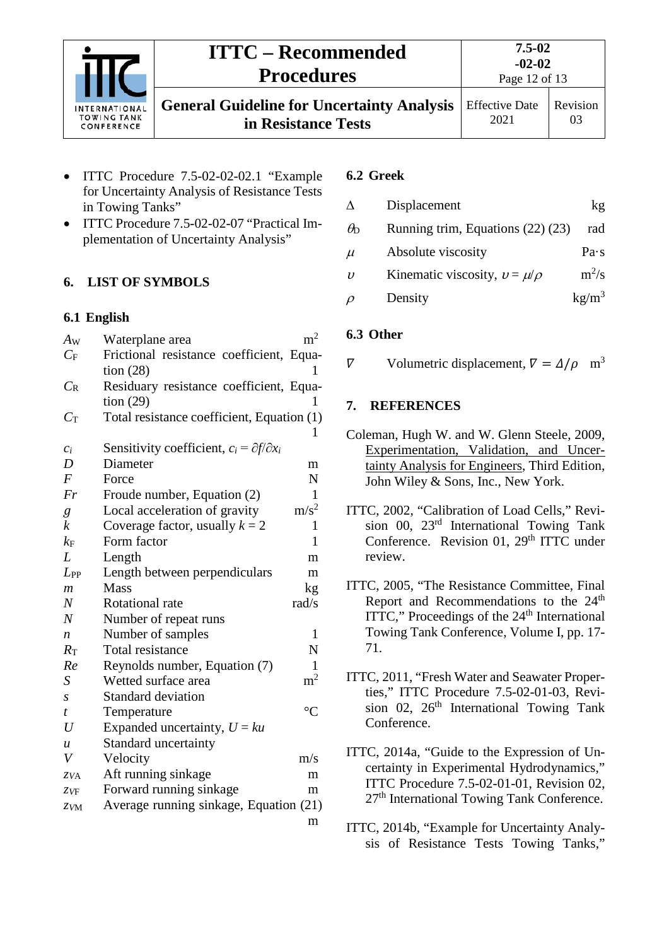

# **ITTC – Recommended Procedures**

**7.5-02 -02-02**

Page 12 of 13

**General Guideline for Uncertainty Analysis in Resistance Tests** Effective Date 2021

03

- 
- 

- ITTC Procedure 7.5-02-02-02.1 "Example for Uncertainty Analysis of Resistance Tests
- in Towing Tanks" • ITTC Procedure 7.5-02-02-07 "Practical Implementation of Uncertainty Analysis"

## <span id="page-11-1"></span><span id="page-11-0"></span>**6. LIST OF SYMBOLS**

### **6.1 English**

| $A_{W}$          | Waterplane area                                            | m <sup>2</sup>   |
|------------------|------------------------------------------------------------|------------------|
| $C_{\rm F}$      | Frictional resistance coefficient, Equa-                   |                  |
|                  | tion $(28)$                                                | 1                |
| $C_{\rm R}$      | Residuary resistance coefficient, Equa-                    |                  |
|                  | tion (29)                                                  | 1                |
| $C_{\rm T}$      | Total resistance coefficient, Equation (1)                 |                  |
|                  |                                                            | L                |
| $c_i$            | Sensitivity coefficient, $c_i = \partial f / \partial x_i$ |                  |
| D                | Diameter                                                   | m                |
| $\overline{F}$   | Force                                                      | $\mathbf N$      |
| Fr               | Froude number, Equation (2)                                | 1                |
| $\it{g}$         | Local acceleration of gravity                              | m/s <sup>2</sup> |
| $\boldsymbol{k}$ | Coverage factor, usually $k = 2$                           | 1                |
| $k_{\rm F}$      | Form factor                                                | $\mathbf{1}$     |
| L                | Length                                                     | m                |
| $L_{PP}$         | Length between perpendiculars                              | m                |
| $\mathfrak{m}$   | <b>Mass</b>                                                | kg               |
| $\overline{N}$   | Rotational rate                                            | rad/s            |
| $\overline{N}$   | Number of repeat runs                                      |                  |
| $\boldsymbol{n}$ | Number of samples                                          | 1                |
| $R_{\rm T}$      | Total resistance                                           | $\mathbf N$      |
| Re               | Reynolds number, Equation (7)                              | 1                |
| S                | Wetted surface area                                        | $\rm m^2$        |
| S                | <b>Standard deviation</b>                                  |                  |
| t                | Temperature                                                | $\rm ^{\circ}C$  |
| $\boldsymbol{U}$ | Expanded uncertainty, $U = ku$                             |                  |
| $\boldsymbol{u}$ | Standard uncertainty                                       |                  |
| V                | Velocity                                                   | m/s              |
| ZVA              | Aft running sinkage                                        | m                |
| ZVF              | Forward running sinkage                                    | m                |
| ZVM              | Average running sinkage, Equation (21)                     |                  |
|                  |                                                            | m                |

### <span id="page-11-2"></span>**6.2 Greek**

| Δ                   | Displacement                        | kg                |
|---------------------|-------------------------------------|-------------------|
| $\theta_{\rm D}$    | Running trim, Equations (22) (23)   | rad               |
| $\mu$               | Absolute viscosity                  | Pa·s              |
| $\boldsymbol{\eta}$ | Kinematic viscosity, $v = \mu/\rho$ | $m^2/s$           |
| $\rho$              | Density                             | kg/m <sup>3</sup> |

## <span id="page-11-3"></span>**6.3 Other**

<span id="page-11-4"></span>Volumetric displacement,  $\nabla = \Delta/\rho$  m<sup>3</sup>  $\nabla$ 

## **7. REFERENCES**

- Coleman, Hugh W. and W. Glenn Steele, 2009, Experimentation, Validation, and Uncertainty Analysis for Engineers, Third Edition, John Wiley & Sons, Inc., New York.
- ITTC, 2002, "Calibration of Load Cells," Revision 00, 23rd International Towing Tank Conference. Revision 01, 29<sup>th</sup> ITTC under review.
- ITTC, 2005, "The Resistance Committee, Final Report and Recommendations to the 24<sup>th</sup> ITTC," Proceedings of the  $24<sup>th</sup>$  International Towing Tank Conference, Volume I, pp. 17- 71.
- ITTC, 2011, "Fresh Water and Seawater Properties," ITTC Procedure 7.5-02-01-03, Revision 02,  $26<sup>th</sup>$  International Towing Tank Conference.
- ITTC, 2014a, "Guide to the Expression of Uncertainty in Experimental Hydrodynamics," ITTC Procedure 7.5-02-01-01, Revision 02, 27<sup>th</sup> International Towing Tank Conference.
- ITTC, 2014b, "Example for Uncertainty Analysis of Resistance Tests Towing Tanks,"